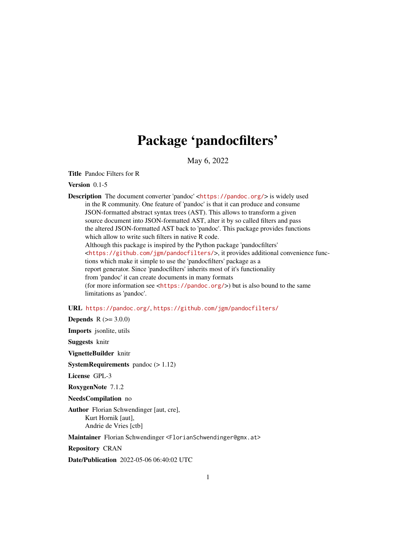# Package 'pandocfilters'

May 6, 2022

Title Pandoc Filters for R

Version 0.1-5

Description The document converter 'pandoc' <<https://pandoc.org/>> is widely used in the R community. One feature of 'pandoc' is that it can produce and consume JSON-formatted abstract syntax trees (AST). This allows to transform a given source document into JSON-formatted AST, alter it by so called filters and pass the altered JSON-formatted AST back to 'pandoc'. This package provides functions which allow to write such filters in native R code. Although this package is inspired by the Python package 'pandocfilters' <<https://github.com/jgm/pandocfilters/>>, it provides additional convenience functions which make it simple to use the 'pandocfilters' package as a report generator. Since 'pandocfilters' inherits most of it's functionality from 'pandoc' it can create documents in many formats (for more information see <<https://pandoc.org/>>) but is also bound to the same limitations as 'pandoc'.

#### URL <https://pandoc.org/>, <https://github.com/jgm/pandocfilters/>

**Depends**  $R (= 3.0.0)$ 

Imports jsonlite, utils

Suggests knitr

VignetteBuilder knitr

**SystemRequirements** pandoc  $(>1.12)$ 

License GPL-3

RoxygenNote 7.1.2

NeedsCompilation no

Author Florian Schwendinger [aut, cre], Kurt Hornik [aut], Andrie de Vries [ctb]

Maintainer Florian Schwendinger <FlorianSchwendinger@gmx.at>

Repository CRAN

Date/Publication 2022-05-06 06:40:02 UTC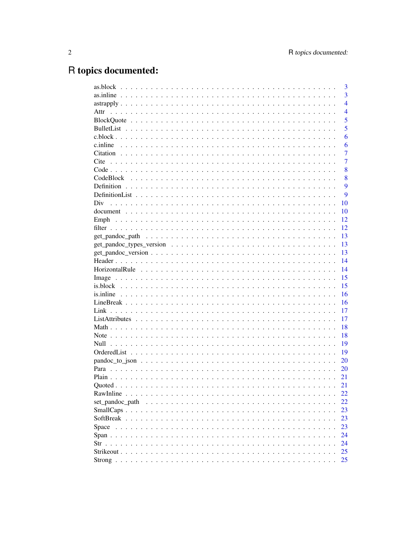# R topics documented:

|                                                                                                                  | 3              |
|------------------------------------------------------------------------------------------------------------------|----------------|
|                                                                                                                  | 3              |
|                                                                                                                  | $\overline{4}$ |
| Attr                                                                                                             | $\overline{4}$ |
|                                                                                                                  | 5              |
|                                                                                                                  | 5              |
|                                                                                                                  | 6              |
|                                                                                                                  | 6              |
|                                                                                                                  | $\overline{7}$ |
| Cite                                                                                                             | $\overline{7}$ |
|                                                                                                                  | 8              |
|                                                                                                                  | 8              |
|                                                                                                                  | 9              |
|                                                                                                                  | 9              |
| Div                                                                                                              | 10             |
|                                                                                                                  | 10             |
|                                                                                                                  | 12             |
|                                                                                                                  | 12             |
|                                                                                                                  | 13             |
|                                                                                                                  | 13             |
| $get\_pandoc\_version \dots \dots \dots \dots \dots \dots \dots \dots \dots \dots \dots \dots \dots \dots \dots$ | 13             |
|                                                                                                                  | 14             |
|                                                                                                                  | 14             |
|                                                                                                                  |                |
|                                                                                                                  | 15             |
|                                                                                                                  | 15             |
|                                                                                                                  | 16             |
|                                                                                                                  | 16             |
|                                                                                                                  | 17             |
|                                                                                                                  | 17             |
|                                                                                                                  | 18             |
|                                                                                                                  | 18             |
|                                                                                                                  | 19             |
|                                                                                                                  | 19             |
|                                                                                                                  | 20             |
|                                                                                                                  | 20             |
|                                                                                                                  | 21             |
|                                                                                                                  | 21             |
|                                                                                                                  | 22             |
| set pandoc path                                                                                                  | 22             |
|                                                                                                                  | 23             |
|                                                                                                                  | 23             |
| Space                                                                                                            | 23             |
|                                                                                                                  | 24             |
|                                                                                                                  | 24             |
|                                                                                                                  | 25             |
|                                                                                                                  | 25             |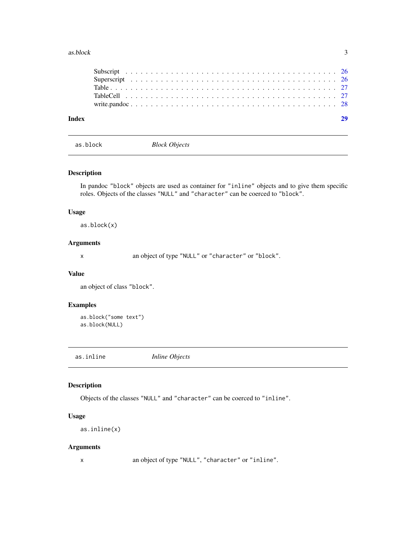#### <span id="page-2-0"></span>as.block 3

| Index |  |  |  |  |  |  |  |  |  |  |  |  |  |  |  |  |  |  |  |
|-------|--|--|--|--|--|--|--|--|--|--|--|--|--|--|--|--|--|--|--|
|       |  |  |  |  |  |  |  |  |  |  |  |  |  |  |  |  |  |  |  |
|       |  |  |  |  |  |  |  |  |  |  |  |  |  |  |  |  |  |  |  |
|       |  |  |  |  |  |  |  |  |  |  |  |  |  |  |  |  |  |  |  |
|       |  |  |  |  |  |  |  |  |  |  |  |  |  |  |  |  |  |  |  |
|       |  |  |  |  |  |  |  |  |  |  |  |  |  |  |  |  |  |  |  |

as.block *Block Objects*

#### Description

In pandoc "block" objects are used as container for "inline" objects and to give them specific roles. Objects of the classes "NULL" and "character" can be coerced to "block".

#### Usage

as.block(x)

#### Arguments

x an object of type "NULL" or "character" or "block".

#### Value

an object of class "block".

#### Examples

```
as.block("some text")
as.block(NULL)
```
as.inline *Inline Objects*

#### Description

Objects of the classes "NULL" and "character" can be coerced to "inline".

#### Usage

as.inline(x)

#### Arguments

x an object of type "NULL", "character" or "inline".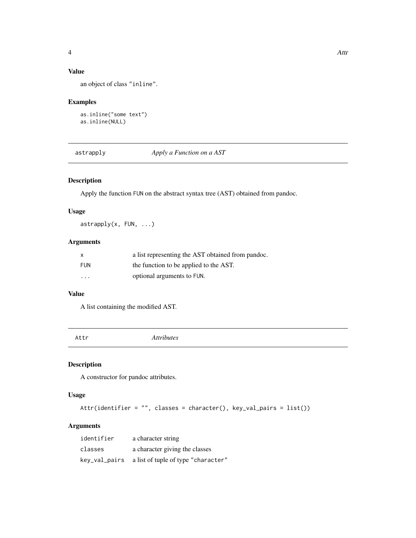# <span id="page-3-0"></span>Value

an object of class "inline".

#### Examples

```
as.inline("some text")
as.inline(NULL)
```
astrapply *Apply a Function on a AST*

# Description

Apply the function FUN on the abstract syntax tree (AST) obtained from pandoc.

#### Usage

astrapply(x, FUN, ...)

#### Arguments

| $\mathsf{x}$      | a list representing the AST obtained from pandoc. |
|-------------------|---------------------------------------------------|
| <b>FUN</b>        | the function to be applied to the AST.            |
| $\cdot\cdot\cdot$ | optional arguments to FUN.                        |

#### Value

A list containing the modified AST.

Attr *Attributes*

#### Description

A constructor for pandoc attributes.

#### Usage

Attr(identifier = "", classes = character(), key\_val\_pairs = list())

# Arguments

| identifier | a character string                                |
|------------|---------------------------------------------------|
| classes    | a character giving the classes                    |
|            | key_val_pairs a list of tuple of type "character" |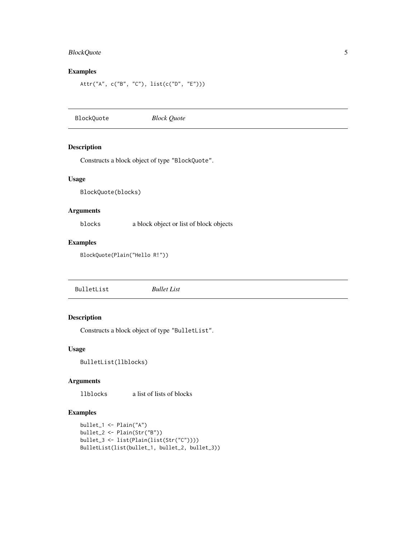# <span id="page-4-0"></span>BlockQuote 5

#### Examples

```
Attr("A", c("B", "C"), list(c("D", "E")))
```
<span id="page-4-1"></span>BlockQuote *Block Quote*

#### Description

Constructs a block object of type "BlockQuote".

#### Usage

BlockQuote(blocks)

#### Arguments

blocks a block object or list of block objects

#### Examples

BlockQuote(Plain("Hello R!"))

<span id="page-4-2"></span>BulletList *Bullet List*

# Description

Constructs a block object of type "BulletList".

#### Usage

BulletList(llblocks)

#### Arguments

llblocks a list of lists of blocks

#### Examples

```
bullet_1 <- Plain("A")
bullet_2 <- Plain(Str("B"))
bullet_3 <- list(Plain(list(Str("C"))))
BulletList(list(bullet_1, bullet_2, bullet_3))
```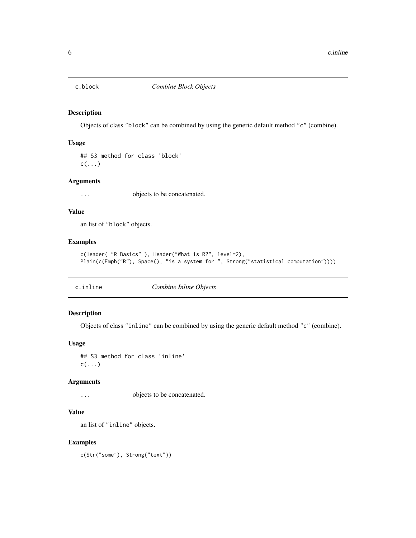<span id="page-5-0"></span>

Objects of class "block" can be combined by using the generic default method "c" (combine).

#### Usage

## S3 method for class 'block'  $c(\ldots)$ 

#### Arguments

... objects to be concatenated.

#### Value

an list of "block" objects.

#### Examples

```
c(Header( "R Basics" ), Header("What is R?", level=2),
Plain(c(Emph("R"), Space(), "is a system for ", Strong("statistical computation"))))
```
c.inline *Combine Inline Objects*

### Description

Objects of class "inline" can be combined by using the generic default method "c" (combine).

#### Usage

## S3 method for class 'inline'  $c(\ldots)$ 

#### Arguments

... objects to be concatenated.

#### Value

an list of "inline" objects.

#### Examples

c(Str("some"), Strong("text"))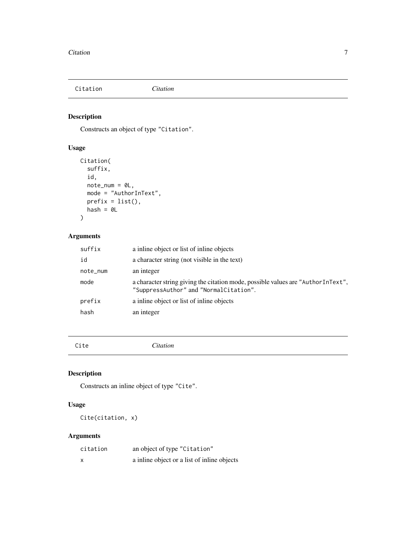<span id="page-6-0"></span>Citation *Citation*

#### Description

Constructs an object of type "Citation".

# Usage

```
Citation(
  suffix,
  id,
  note_num = 0L,
  mode = "AuthorInText",
  prefix = list(),hash = 0L\mathcal{L}
```
# Arguments

| suffix   | a inline object or list of inline objects                                                                                  |
|----------|----------------------------------------------------------------------------------------------------------------------------|
| id       | a character string (not visible in the text)                                                                               |
| note_num | an integer                                                                                                                 |
| mode     | a character string giving the citation mode, possible values are "AuthorInText",<br>"SuppressAuthor" and "NormalCitation". |
| prefix   | a inline object or list of inline objects                                                                                  |
| hash     | an integer                                                                                                                 |
|          |                                                                                                                            |

Cite *Citation*

#### Description

Constructs an inline object of type "Cite".

# Usage

Cite(citation, x)

# Arguments

| citation | an object of type "Citation"                |
|----------|---------------------------------------------|
|          | a inline object or a list of inline objects |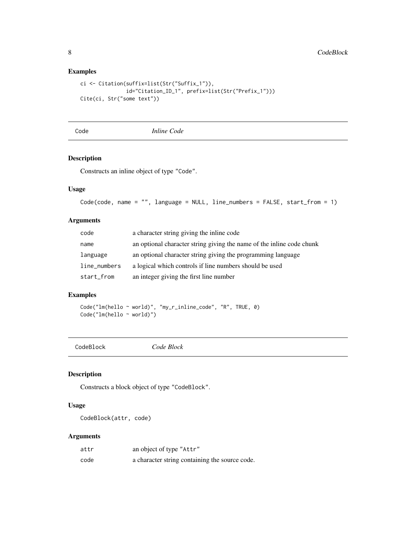#### Examples

```
ci <- Citation(suffix=list(Str("Suffix_1")),
              id="Citation_ID_1", prefix=list(Str("Prefix_1")))
Cite(ci, Str("some text"))
```
Code *Inline Code*

#### Description

Constructs an inline object of type "Code".

#### Usage

```
Code(code, name = "", language = NULL, line_numbers = FALSE, start_from = 1)
```
#### Arguments

| code         | a character string giving the inline code                             |
|--------------|-----------------------------------------------------------------------|
| name         | an optional character string giving the name of the inline code chunk |
| language     | an optional character string giving the programming language          |
| line_numbers | a logical which controls if line numbers should be used               |
| start_from   | an integer giving the first line number                               |

#### Examples

Code("lm(hello ~ world)", "my\_r\_inline\_code", "R", TRUE, 0) Code("lm(hello ~ world)")

CodeBlock *Code Block*

#### Description

Constructs a block object of type "CodeBlock".

#### Usage

CodeBlock(attr, code)

#### Arguments

| attr | an object of type "Attr"                       |
|------|------------------------------------------------|
| code | a character string containing the source code. |

<span id="page-7-0"></span>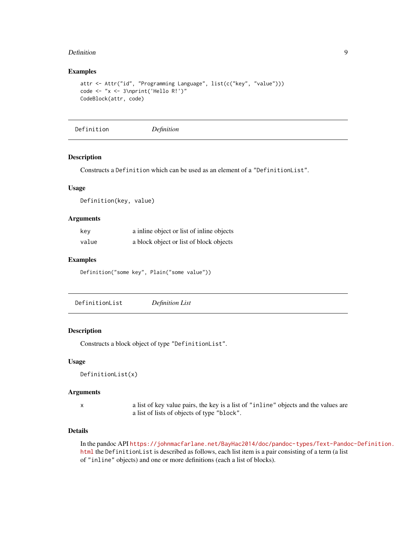#### <span id="page-8-0"></span>Definition **Definition** 9

#### Examples

```
attr <- Attr("id", "Programming Language", list(c("key", "value")))
code <- "x <- 3\nprint('Hello R!')"
CodeBlock(attr, code)
```
Definition *Definition*

#### Description

Constructs a Definition which can be used as an element of a "DefinitionList".

#### Usage

Definition(key, value)

#### **Arguments**

| kev   | a inline object or list of inline objects |
|-------|-------------------------------------------|
| value | a block object or list of block objects   |

#### Examples

Definition("some key", Plain("some value"))

<span id="page-8-1"></span>DefinitionList *Definition List*

#### Description

Constructs a block object of type "DefinitionList".

#### Usage

```
DefinitionList(x)
```
#### Arguments

x a list of key value pairs, the key is a list of "inline" objects and the values are a list of lists of objects of type "block".

#### Details

In the pandoc API [https://johnmacfarlane.net/BayHac2014/doc/pandoc-types/Text-Pando](https://johnmacfarlane.net/BayHac2014/doc/pandoc-types/Text-Pandoc-Definition.html)c-Definition. [html](https://johnmacfarlane.net/BayHac2014/doc/pandoc-types/Text-Pandoc-Definition.html) the DefinitionList is described as follows, each list item is a pair consisting of a term (a list of "inline" objects) and one or more definitions (each a list of blocks).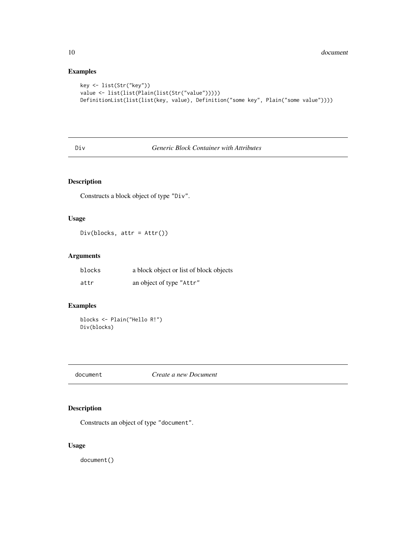# Examples

```
key <- list(Str("key"))
value <- list(list(Plain(list(Str("value")))))
DefinitionList(list(list(key, value), Definition("some key", Plain("some value"))))
```
#### <span id="page-9-1"></span>Div *Generic Block Container with Attributes*

#### Description

Constructs a block object of type "Div".

#### Usage

Div(blocks, attr = Attr())

#### Arguments

| blocks | a block object or list of block objects |
|--------|-----------------------------------------|
| attr   | an object of type "Attr"                |

#### Examples

blocks <- Plain("Hello R!") Div(blocks)

document *Create a new Document*

# Description

Constructs an object of type "document".

#### Usage

document()

<span id="page-9-0"></span>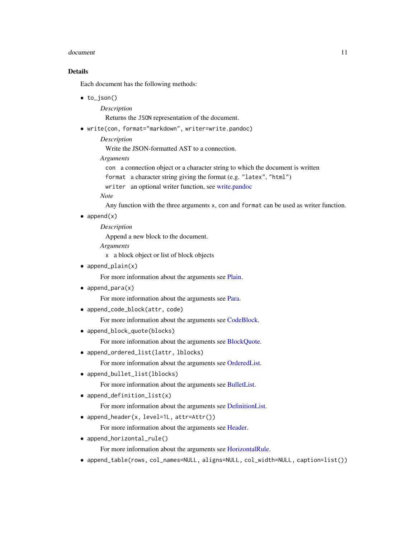#### <span id="page-10-0"></span>document and the contract of the contract of the contract of the contract of the contract of the contract of the contract of the contract of the contract of the contract of the contract of the contract of the contract of t

#### Details

Each document has the following methods:

• to\_json()

*Description*

Returns the JSON representation of the document.

- write(con, format="markdown", writer=write.pandoc)
	- *Description*

Write the JSON-formatted AST to a connection.

- *Arguments*
	- con a connection object or a character string to which the document is written
	- format a character string giving the format (e.g. "latex", "html")
	- writer an optional writer function, see [write.pandoc](#page-27-1)

*Note*

Any function with the three arguments x, con and format can be used as writer function.

 $\bullet$  append $(x)$ 

*Description*

Append a new block to the document.

*Arguments*

x a block object or list of block objects

• append\_plain(x)

For more information about the arguments see [Plain.](#page-20-1)

• append\_para(x)

For more information about the arguments see [Para.](#page-19-1)

• append\_code\_block(attr, code)

For more information about the arguments see [CodeBlock.](#page-7-1)

• append\_block\_quote(blocks)

For more information about the arguments see [BlockQuote.](#page-4-1)

• append\_ordered\_list(lattr, lblocks)

For more information about the arguments see [OrderedList.](#page-18-1)

• append\_bullet\_list(lblocks)

For more information about the arguments see [BulletList.](#page-4-2)

• append\_definition\_list(x)

For more information about the arguments see [DefinitionList.](#page-8-1)

• append\_header(x, level=1L, attr=Attr())

For more information about the arguments see [Header.](#page-13-1)

• append\_horizontal\_rule()

For more information about the arguments see [HorizontalRule.](#page-13-2)

• append\_table(rows, col\_names=NULL, aligns=NULL, col\_width=NULL, caption=list())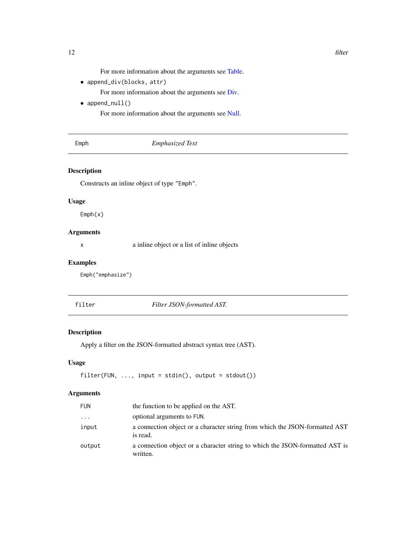For more information about the arguments see [Table.](#page-26-1)

<span id="page-11-0"></span>• append\_div(blocks, attr)

For more information about the arguments see [Div.](#page-9-1)

• append\_null()

For more information about the arguments see [Null.](#page-18-2)

#### Emphasized Text

#### Description

Constructs an inline object of type "Emph".

#### Usage

Emph(x)

#### Arguments

x a inline object or a list of inline objects

#### Examples

Emph("emphasize")

filter *Filter JSON-formatted AST.*

#### Description

Apply a filter on the JSON-formatted abstract syntax tree (AST).

#### Usage

```
filter(FUN, \ldots, input = stdin(), output = stdout())
```
#### Arguments

| <b>FUN</b> | the function to be applied on the AST.                                                   |
|------------|------------------------------------------------------------------------------------------|
| $\ddots$   | optional arguments to FUN.                                                               |
| input      | a connection object or a character string from which the JSON-formatted AST<br>is read.  |
| output     | a connection object or a character string to which the JSON-formatted AST is<br>written. |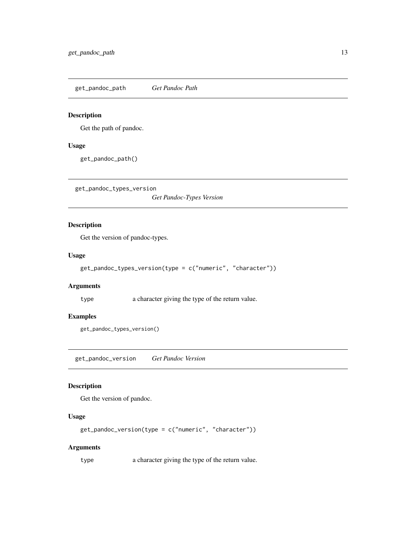<span id="page-12-0"></span>get\_pandoc\_path *Get Pandoc Path*

#### Description

Get the path of pandoc.

#### Usage

get\_pandoc\_path()

get\_pandoc\_types\_version

*Get Pandoc-Types Version*

## Description

Get the version of pandoc-types.

#### Usage

```
get_pandoc_types_version(type = c("numeric", "character"))
```
#### Arguments

type **a** character giving the type of the return value.

#### Examples

get\_pandoc\_types\_version()

get\_pandoc\_version *Get Pandoc Version*

#### Description

Get the version of pandoc.

# Usage

```
get_pandoc_version(type = c("numeric", "character"))
```
#### Arguments

type a character giving the type of the return value.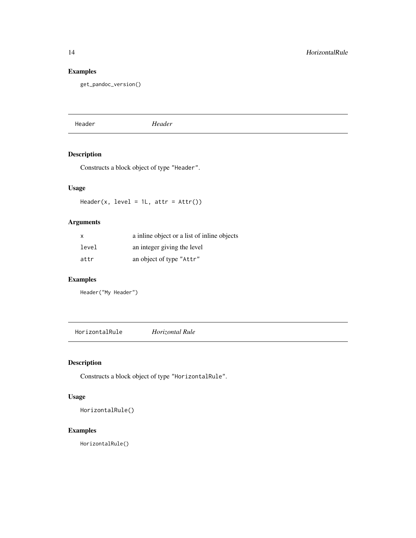# <span id="page-13-0"></span>Examples

```
get_pandoc_version()
```
<span id="page-13-1"></span>Header *Header*

# Description

Constructs a block object of type "Header".

#### Usage

Header(x, level =  $1L$ , attr =  $Attr()$ )

# Arguments

| x     | a inline object or a list of inline objects |
|-------|---------------------------------------------|
| level | an integer giving the level                 |
| attr  | an object of type "Attr"                    |

#### Examples

Header("My Header")

<span id="page-13-2"></span>HorizontalRule *Horizontal Rule*

# Description

Constructs a block object of type "HorizontalRule".

#### Usage

HorizontalRule()

# Examples

HorizontalRule()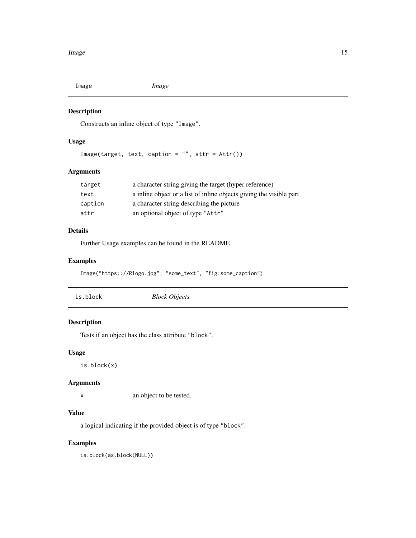<span id="page-14-0"></span>

Constructs an inline object of type "Image".

#### Usage

```
Image(target, text, caption = "", attr = Attr())
```
#### Arguments

| target  | a character string giving the target (hyper reference)              |
|---------|---------------------------------------------------------------------|
| text    | a inline object or a list of inline objects giving the visible part |
| caption | a character string describing the picture                           |
| attr    | an optional object of type "Attr"                                   |

#### Details

Further Usage examples can be found in the README.

#### Examples

```
Image("https:://Rlogo.jpg", "some_text", "fig:some_caption")
```

| is.block<br><b>Block Objects</b> |
|----------------------------------|
|----------------------------------|

# Description

Tests if an object has the class attribute "block".

#### Usage

is.block(x)

#### Arguments

x an object to be tested.

#### Value

a logical indicating if the provided object is of type "block".

#### Examples

is.block(as.block(NULL))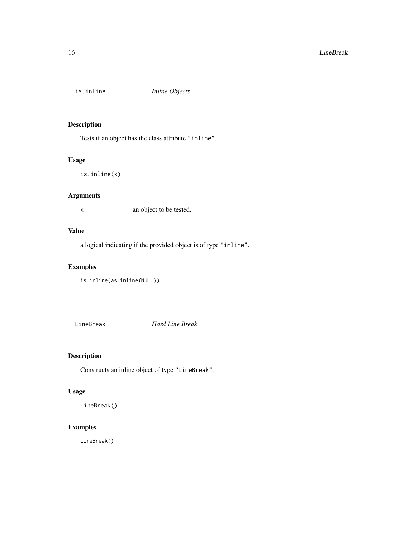<span id="page-15-0"></span>

Tests if an object has the class attribute "inline".

#### Usage

is.inline(x)

#### Arguments

x an object to be tested.

#### Value

a logical indicating if the provided object is of type "inline".

# Examples

is.inline(as.inline(NULL))

LineBreak *Hard Line Break*

# Description

Constructs an inline object of type "LineBreak".

#### Usage

LineBreak()

# Examples

LineBreak()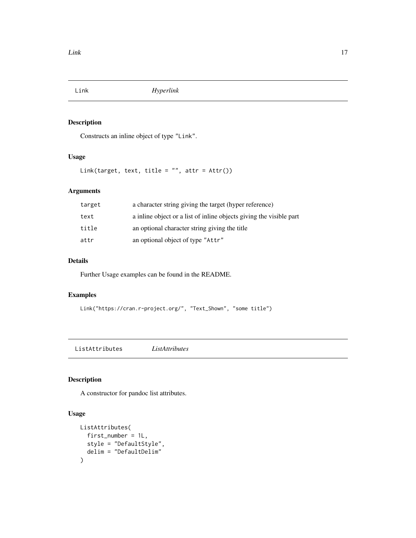<span id="page-16-0"></span>

Constructs an inline object of type "Link".

# Usage

Link(target, text, title = "", attr = Attr())

# Arguments

| target | a character string giving the target (hyper reference)              |
|--------|---------------------------------------------------------------------|
| text   | a inline object or a list of inline objects giving the visible part |
| title  | an optional character string giving the title                       |
| attr   | an optional object of type "Attr"                                   |

#### Details

Further Usage examples can be found in the README.

# Examples

```
Link("https://cran.r-project.org/", "Text_Shown", "some title")
```
ListAttributes *ListAttributes*

#### Description

A constructor for pandoc list attributes.

#### Usage

```
ListAttributes(
  first_number = 1L,
  style = "DefaultStyle",
  delim = "DefaultDelim"
\mathcal{L}
```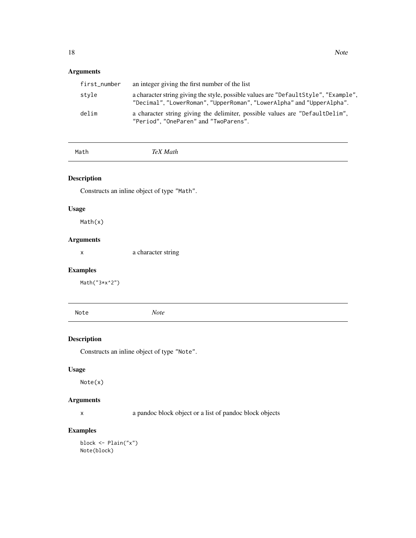# <span id="page-17-0"></span>Arguments

| first_number | an integer giving the first number of the list                                                                                                                |
|--------------|---------------------------------------------------------------------------------------------------------------------------------------------------------------|
| stvle        | a character string giving the style, possible values are "Default Style", "Example",<br>"Decimal", "LowerRoman", "UpperRoman", "LowerAlpha" and "UpperAlpha". |
| delim        | a character string giving the delimiter, possible values are "DefaultDelim",<br>"Period", "OneParen" and "TwoParens".                                         |

Math *TeX Math*

#### Description

Constructs an inline object of type "Math".

# Usage

Math(x)

# Arguments

x a character string

# Examples

Math("3\*x^2")

Note *Note*

# Description

Constructs an inline object of type "Note".

#### Usage

Note(x)

# Arguments

x a pandoc block object or a list of pandoc block objects

# Examples

block <- Plain("x") Note(block)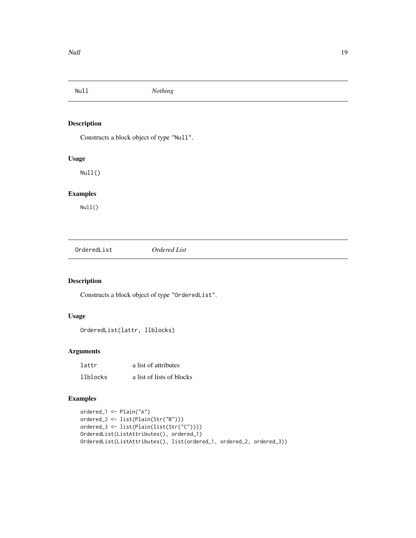<span id="page-18-2"></span><span id="page-18-0"></span>

Constructs a block object of type "Null".

#### Usage

Null()

# Examples

Null()

<span id="page-18-1"></span>OrderedList *Ordered List*

# Description

Constructs a block object of type "OrderedList".

#### Usage

OrderedList(lattr, llblocks)

#### Arguments

| lattr    | a list of attributes      |
|----------|---------------------------|
| llblocks | a list of lists of blocks |

#### Examples

```
ordered_1 <- Plain("A")
ordered_2 <- list(Plain(Str("B")))
ordered_3 <- list(Plain(list(Str("C"))))
OrderedList(ListAttributes(), ordered_1)
OrderedList(ListAttributes(), list(ordered_1, ordered_2, ordered_3))
```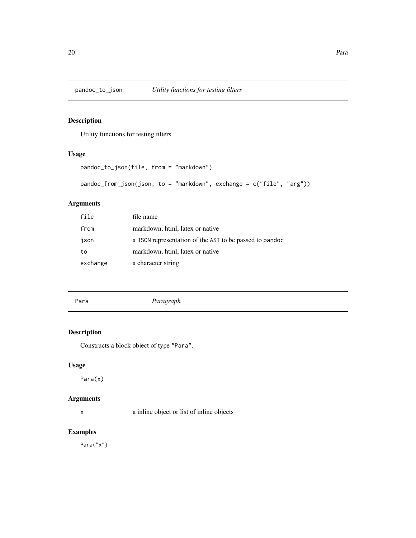<span id="page-19-0"></span>

Utility functions for testing filters

#### Usage

```
pandoc_to_json(file, from = "markdown")
pandoc_from_json(json, to = "markdown", exchange = c("file", "arg"))
```
# Arguments

| file     | file name                                               |
|----------|---------------------------------------------------------|
| from     | markdown, html, latex or native                         |
| json     | a JSON representation of the AST to be passed to pandoc |
| to       | markdown, html, latex or native                         |
| exchange | a character string                                      |

<span id="page-19-1"></span>

Para *Paragraph*

#### Description

Constructs a block object of type "Para".

#### Usage

Para(x)

#### Arguments

x a inline object or list of inline objects

#### Examples

Para("x")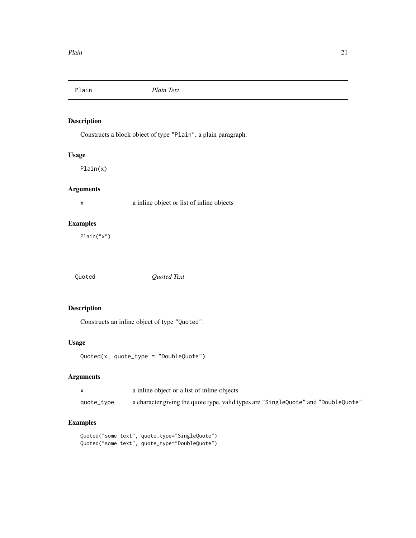<span id="page-20-1"></span><span id="page-20-0"></span>

Constructs a block object of type "Plain", a plain paragraph.

#### Usage

Plain(x)

#### Arguments

x a inline object or list of inline objects

### Examples

Plain("x")

Quoted *Quoted Text*

#### Description

Constructs an inline object of type "Quoted".

#### Usage

```
Quoted(x, quot_ztype = "DoubleQuote")
```
#### Arguments

|            | a inline object or a list of inline objects                                        |
|------------|------------------------------------------------------------------------------------|
| quote_type | a character giving the quote type, valid types are "SingleQuote" and "DoubleQuote" |

#### Examples

```
Quoted("some text", quote_type="SingleQuote")
Quoted("some text", quote_type="DoubleQuote")
```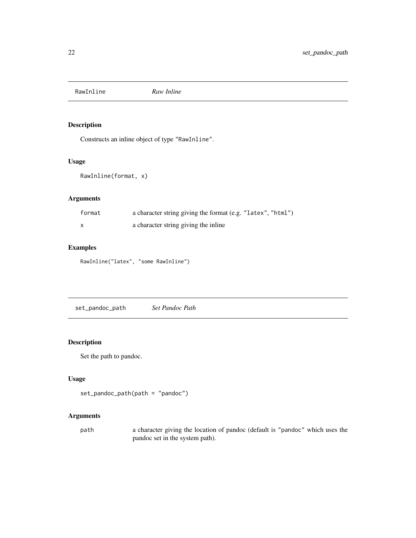<span id="page-21-0"></span>RawInline *Raw Inline*

# Description

Constructs an inline object of type "RawInline".

#### Usage

```
RawInline(format, x)
```
# Arguments

| format | a character string giving the format (e.g. "latex", "html") |  |
|--------|-------------------------------------------------------------|--|
|        | a character string giving the inline                        |  |

#### Examples

RawInline("latex", "some RawInline")

set\_pandoc\_path *Set Pandoc Path*

#### Description

Set the path to pandoc.

#### Usage

```
set_pandoc_path(path = "pandoc")
```
#### Arguments

path a character giving the location of pandoc (default is "pandoc" which uses the pandoc set in the system path).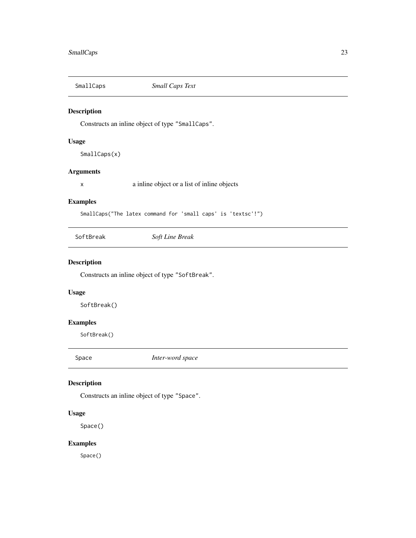<span id="page-22-0"></span>

Constructs an inline object of type "SmallCaps".

#### Usage

SmallCaps(x)

#### Arguments

x a inline object or a list of inline objects

# Examples

SmallCaps("The latex command for 'small caps' is 'textsc'!")

SoftBreak *Soft Line Break*

# Description

Constructs an inline object of type "SoftBreak".

#### Usage

SoftBreak()

# Examples

SoftBreak()

Space *Inter-word space*

#### Description

Constructs an inline object of type "Space".

#### Usage

Space()

#### Examples

Space()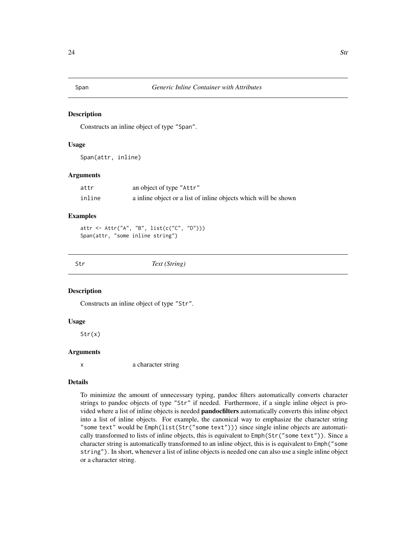<span id="page-23-0"></span>

Constructs an inline object of type "Span".

#### Usage

Span(attr, inline)

#### Arguments

| attr   | an object of type "Attr"                                        |
|--------|-----------------------------------------------------------------|
| inline | a inline object or a list of inline objects which will be shown |

#### Examples

```
attr <- Attr("A", "B", list(c("C", "D")))
Span(attr, "some inline string")
```
Str *Text (String)*

#### Description

Constructs an inline object of type "Str".

#### Usage

Str(x)

#### **Arguments**

x a character string

#### Details

To minimize the amount of unnecessary typing, pandoc filters automatically converts character strings to pandoc objects of type "Str" if needed. Furthermore, if a single inline object is provided where a list of inline objects is needed pandocfilters automatically converts this inline object into a list of inline objects. For example, the canonical way to emphasize the character string "some text" would be Emph(list(Str("some text"))) since single inline objects are automatically transformed to lists of inline objects, this is equivalent to Emph(Str("some text")). Since a character string is automatically transformed to an inline object, this is is equivalent to Emph("some string"). In short, whenever a list of inline objects is needed one can also use a single inline object or a character string.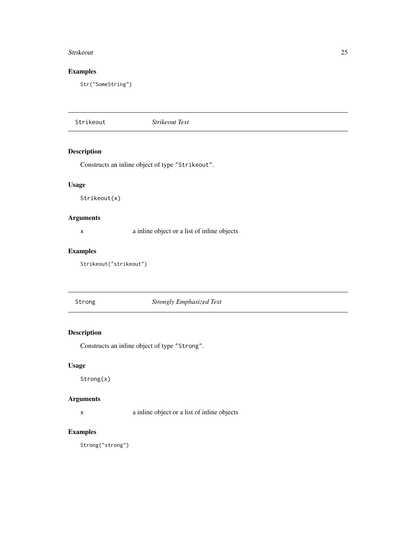#### <span id="page-24-0"></span>Strikeout 25

# Examples

Str("SomeString")

Strikeout *Strikeout Text*

# Description

Constructs an inline object of type "Strikeout".

#### Usage

Strikeout(x)

# Arguments

x a inline object or a list of inline objects

# Examples

```
Strikeout("strikeout")
```
Strong *Strongly Emphasized Text*

# Description

Constructs an inline object of type "Strong".

#### Usage

Strong(x)

#### Arguments

x a inline object or a list of inline objects

#### Examples

Strong("strong")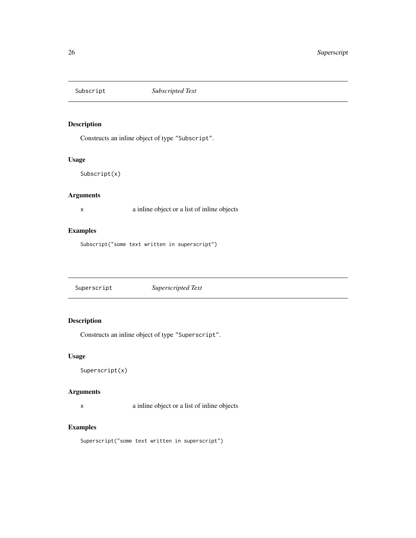<span id="page-25-0"></span>

Constructs an inline object of type "Subscript".

#### Usage

Subscript(x)

#### Arguments

x a inline object or a list of inline objects

#### Examples

Subscript("some text written in superscript")

Superscript *Superscripted Text*

### Description

Constructs an inline object of type "Superscript".

#### Usage

Superscript(x)

# Arguments

x a inline object or a list of inline objects

#### Examples

Superscript("some text written in superscript")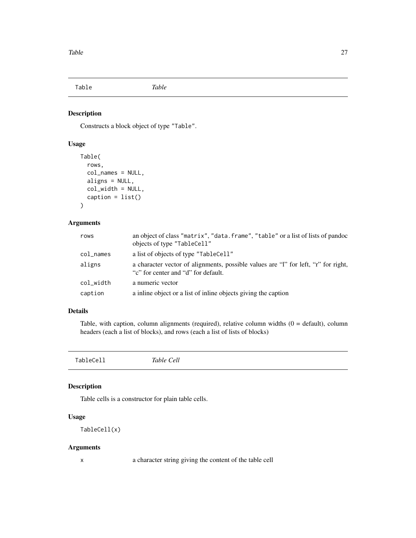<span id="page-26-1"></span><span id="page-26-0"></span>Table *Table*

### Description

Constructs a block object of type "Table".

#### Usage

```
Table(
  rows,
 col_names = NULL,
 aligns = NULL,
 col_width = NULL,
  caption = list()
)
```
# Arguments

| rows            | an object of class "matrix", "data. frame", "table" or a list of lists of pandoc<br>objects of type "TableCell"           |
|-----------------|---------------------------------------------------------------------------------------------------------------------------|
| $col$ $\_names$ | a list of objects of type "TableCell"                                                                                     |
| aligns          | a character vector of alignments, possible values are "I" for left, "r" for right,<br>"c" for center and "d" for default. |
| col width       | a numeric vector                                                                                                          |
| caption         | a inline object or a list of inline objects giving the caption                                                            |

# Details

Table, with caption, column alignments (required), relative column widths  $(0 =$  default), column headers (each a list of blocks), and rows (each a list of lists of blocks)

TableCell *Table Cell*

#### Description

Table cells is a constructor for plain table cells.

# Usage

```
TableCell(x)
```
#### Arguments

x a character string giving the content of the table cell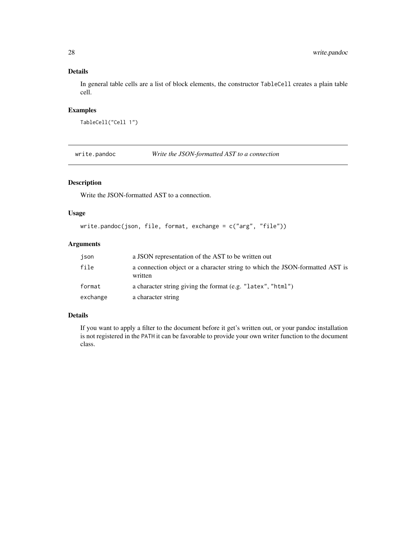# <span id="page-27-0"></span>Details

In general table cells are a list of block elements, the constructor TableCell creates a plain table cell.

#### Examples

```
TableCell("Cell 1")
```
<span id="page-27-1"></span>write.pandoc *Write the JSON-formatted AST to a connection*

#### Description

Write the JSON-formatted AST to a connection.

# Usage

```
write.pandoc(json, file, format, exchange = c("arg", "file"))
```
#### Arguments

| ison     | a JSON representation of the AST to be written out                                      |
|----------|-----------------------------------------------------------------------------------------|
| file     | a connection object or a character string to which the JSON-formatted AST is<br>written |
| format   | a character string giving the format (e.g. "latex", "html")                             |
| exchange | a character string                                                                      |

# Details

If you want to apply a filter to the document before it get's written out, or your pandoc installation is not registered in the PATH it can be favorable to provide your own writer function to the document class.